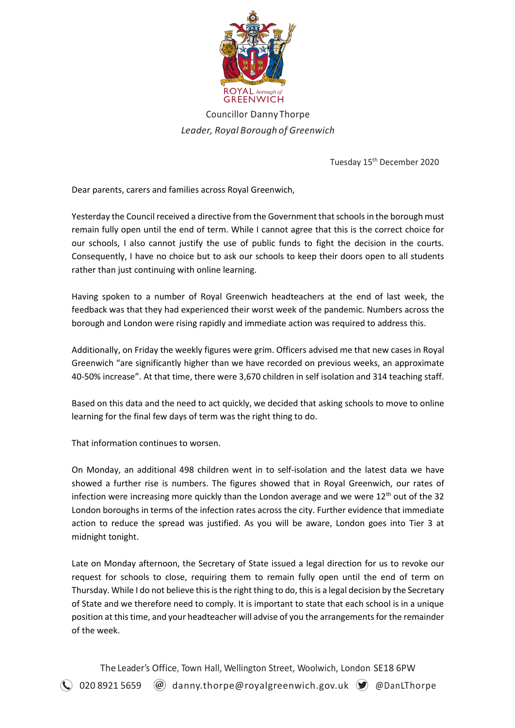

Councillor Danny Thorpe *Leader, Royal Borough of Greenwich*

Tuesday 15<sup>th</sup> December 2020

Dear parents, carers and families across Royal Greenwich,

Yesterday the Council received a directive from the Government that schoolsin the borough must remain fully open until the end of term. While I cannot agree that this is the correct choice for our schools, I also cannot justify the use of public funds to fight the decision in the courts. Consequently, I have no choice but to ask our schools to keep their doors open to all students rather than just continuing with online learning.

Having spoken to a number of Royal Greenwich headteachers at the end of last week, the feedback was that they had experienced their worst week of the pandemic. Numbers across the borough and London were rising rapidly and immediate action was required to address this.

Additionally, on Friday the weekly figures were grim. Officers advised me that new cases in Royal Greenwich "are significantly higher than we have recorded on previous weeks, an approximate 40-50% increase". At that time, there were 3,670 children in self isolation and 314 teaching staff.

Based on this data and the need to act quickly, we decided that asking schools to move to online learning for the final few days of term was the right thing to do.

That information continues to worsen.

On Monday, an additional 498 children went in to self-isolation and the latest data we have showed a further rise is numbers. The figures showed that in Royal Greenwich, our rates of infection were increasing more quickly than the London average and we were  $12<sup>th</sup>$  out of the 32 London boroughs in terms of the infection rates across the city. Further evidence that immediate action to reduce the spread was justified. As you will be aware, London goes into Tier 3 at midnight tonight.

Late on Monday afternoon, the Secretary of State issued a legal direction for us to revoke our request for schools to close, requiring them to remain fully open until the end of term on Thursday. While I do not believe this is the right thing to do, this is a legal decision by the Secretary of State and we therefore need to comply. It is important to state that each school is in a unique position at this time, and your headteacher will advise of you the arrangements for the remainder of the week.

The Leader's Office, Town Hall, Wellington Street, Woolwich, London SE18 6PW  $\left(\bigcup_{i=1}^{\infty} 0$  20 8921 5659  $\quad$  @D anny.thorpe@royalgreenwich.gov.uk  $\left(\bigcup_{i=1}^{\infty} 0$  @DanLThorpe